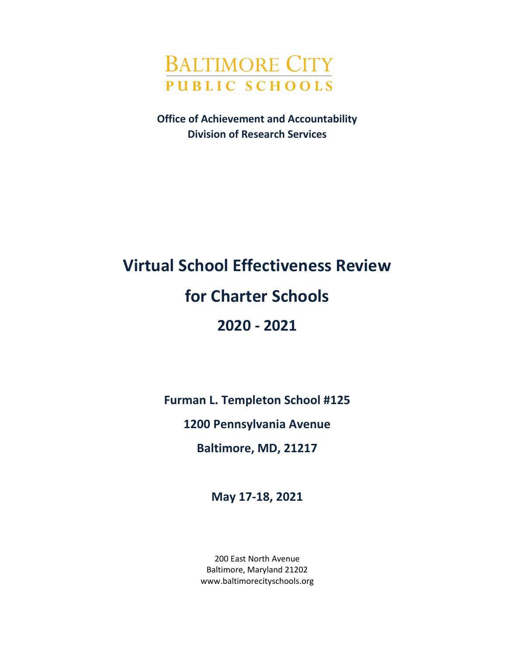

**Office of Achievement and Accountability Division of Research Services**

# **Virtual School Effectiveness Review for Charter Schools 2020 - 2021**

**Furman L. Templeton School #125**

**1200 Pennsylvania Avenue**

**Baltimore, MD, 21217**

**May 17-18, 2021**

200 East North Avenue Baltimore, Maryland 21202 www.baltimorecityschools.org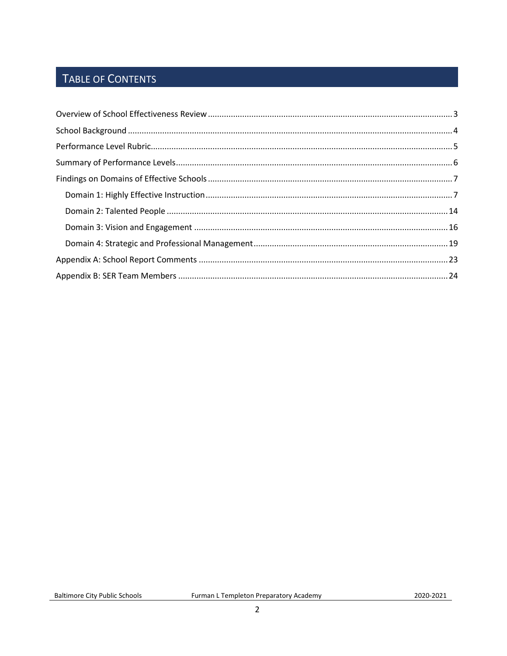# TABLE OF CONTENTS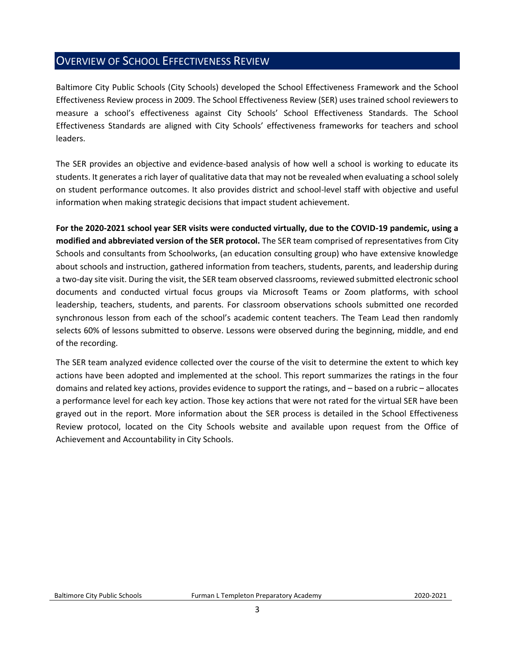## <span id="page-2-0"></span>OVERVIEW OF SCHOOL EFFECTIVENESS REVIEW

Baltimore City Public Schools (City Schools) developed the School Effectiveness Framework and the School Effectiveness Review process in 2009. The School Effectiveness Review (SER) uses trained school reviewers to measure a school's effectiveness against City Schools' School Effectiveness Standards. The School Effectiveness Standards are aligned with City Schools' effectiveness frameworks for teachers and school leaders.

The SER provides an objective and evidence-based analysis of how well a school is working to educate its students. It generates a rich layer of qualitative data that may not be revealed when evaluating a school solely on student performance outcomes. It also provides district and school-level staff with objective and useful information when making strategic decisions that impact student achievement.

**For the 2020-2021 school year SER visits were conducted virtually, due to the COVID-19 pandemic, using a modified and abbreviated version of the SER protocol.** The SER team comprised of representatives from City Schools and consultants from Schoolworks, (an education consulting group) who have extensive knowledge about schools and instruction, gathered information from teachers, students, parents, and leadership during a two-day site visit. During the visit, the SER team observed classrooms, reviewed submitted electronic school documents and conducted virtual focus groups via Microsoft Teams or Zoom platforms, with school leadership, teachers, students, and parents. For classroom observations schools submitted one recorded synchronous lesson from each of the school's academic content teachers. The Team Lead then randomly selects 60% of lessons submitted to observe. Lessons were observed during the beginning, middle, and end of the recording.

The SER team analyzed evidence collected over the course of the visit to determine the extent to which key actions have been adopted and implemented at the school. This report summarizes the ratings in the four domains and related key actions, provides evidence to support the ratings, and – based on a rubric – allocates a performance level for each key action. Those key actions that were not rated for the virtual SER have been grayed out in the report. More information about the SER process is detailed in the School Effectiveness Review protocol, located on the City Schools website and available upon request from the Office of Achievement and Accountability in City Schools.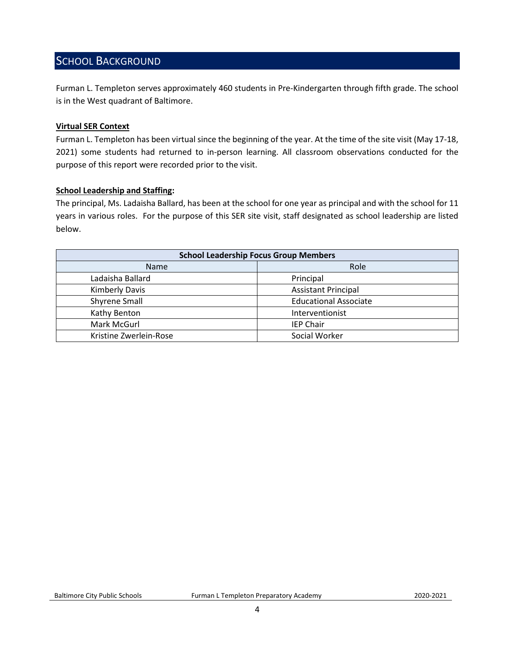## <span id="page-3-0"></span>SCHOOL BACKGROUND

Furman L. Templeton serves approximately 460 students in Pre-Kindergarten through fifth grade. The school is in the West quadrant of Baltimore.

#### **Virtual SER Context**

Furman L. Templeton has been virtual since the beginning of the year. At the time of the site visit (May 17-18, 2021) some students had returned to in-person learning. All classroom observations conducted for the purpose of this report were recorded prior to the visit.

#### **School Leadership and Staffing:**

The principal, Ms. Ladaisha Ballard, has been at the school for one year as principal and with the school for 11 years in various roles. For the purpose of this SER site visit, staff designated as school leadership are listed below.

<span id="page-3-1"></span>

| <b>School Leadership Focus Group Members</b> |                              |  |
|----------------------------------------------|------------------------------|--|
| <b>Name</b>                                  | Role                         |  |
| Ladaisha Ballard                             | Principal                    |  |
| <b>Kimberly Davis</b>                        | <b>Assistant Principal</b>   |  |
| <b>Shyrene Small</b>                         | <b>Educational Associate</b> |  |
| Kathy Benton                                 | Interventionist              |  |
| Mark McGurl                                  | <b>IEP Chair</b>             |  |
| Kristine Zwerlein-Rose                       | Social Worker                |  |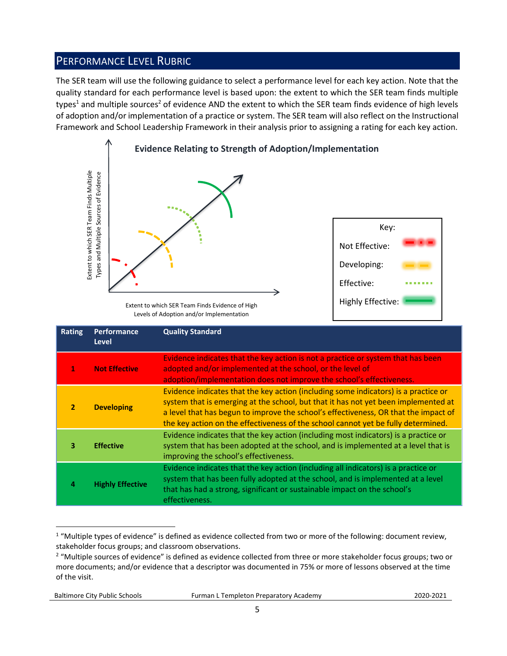## PERFORMANCE LEVEL RUBRIC

The SER team will use the following guidance to select a performance level for each key action. Note that the quality standard for each performance level is based upon: the extent to which the SER team finds multiple types<sup>1</sup> and multiple sources<sup>2</sup> of evidence AND the extent to which the SER team finds evidence of high levels of adoption and/or implementation of a practice or system. The SER team will also reflect on the Instructional Framework and School Leadership Framework in their analysis prior to assigning a rating for each key action.



Levels of Adoption and/or Implementation

|                | Extent to which SER Team Finds Multiple<br>Types and Multiple Sources of Evidence | Extent to which SER Team Finds Evidence of High<br>Levels of Adoption and/or Implementation                                                                                                                                                                                                                                                                                                                                                    | Key:<br>Not Effective:<br>Developing:<br>Effective:<br><b>Highly Effective:</b> |  |
|----------------|-----------------------------------------------------------------------------------|------------------------------------------------------------------------------------------------------------------------------------------------------------------------------------------------------------------------------------------------------------------------------------------------------------------------------------------------------------------------------------------------------------------------------------------------|---------------------------------------------------------------------------------|--|
| <b>Rating</b>  | Performance<br><b>Level</b>                                                       | <b>Quality Standard</b>                                                                                                                                                                                                                                                                                                                                                                                                                        |                                                                                 |  |
| 1              | <b>Not Effective</b>                                                              | Evidence indicates that the key action is not a practice or system that has been<br>adopted and/or implemented at the school, or the level of<br>adoption/implementation does not improve the school's effectiveness.                                                                                                                                                                                                                          |                                                                                 |  |
| $\overline{2}$ | <b>Developing</b>                                                                 | Evidence indicates that the key action (including some indicators) is a practice or<br>system that is emerging at the school, but that it has not yet been implemented at<br>a level that has begun to improve the school's effectiveness, OR that the impact of<br>the key action on the effectiveness of the school cannot yet be fully determined.                                                                                          |                                                                                 |  |
| з              | <b>Effective</b>                                                                  | Evidence indicates that the key action (including most indicators) is a practice or<br>system that has been adopted at the school, and is implemented at a level that is<br>improving the school's effectiveness.                                                                                                                                                                                                                              |                                                                                 |  |
| 4              | <b>Highly Effective</b>                                                           | Evidence indicates that the key action (including all indicators) is a practice or<br>system that has been fully adopted at the school, and is implemented at a level<br>that has had a strong, significant or sustainable impact on the school's<br>effectiveness.                                                                                                                                                                            |                                                                                 |  |
| of the visit.  |                                                                                   | <sup>1</sup> "Multiple types of evidence" is defined as evidence collected from two or more of the following: document review,<br>stakeholder focus groups; and classroom observations.<br><sup>2</sup> "Multiple sources of evidence" is defined as evidence collected from three or more stakeholder focus groups; two or<br>more documents; and/or evidence that a descriptor was documented in 75% or more of lessons observed at the time |                                                                                 |  |

 $1$  "Multiple types of evidence" is defined as evidence collected from two or more of the following: document review, stakeholder focus groups; and classroom observations.

Baltimore City Public Schools Furman L Templeton Preparatory Academy2020-2021

<sup>&</sup>lt;sup>2</sup> "Multiple sources of evidence" is defined as evidence collected from three or more stakeholder focus groups; two or more documents; and/or evidence that a descriptor was documented in 75% or more of lessons observed at the time of the visit.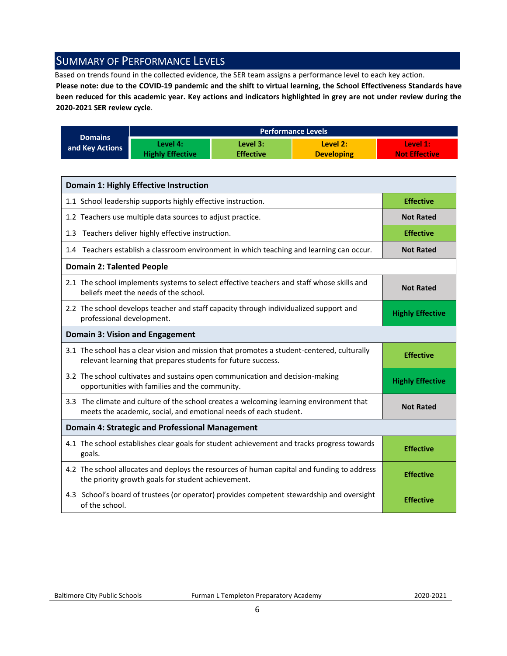## <span id="page-5-0"></span>SUMMARY OF PERFORMANCE LEVELS

Based on trends found in the collected evidence, the SER team assigns a performance level to each key action.

**Please note: due to the COVID-19 pandemic and the shift to virtual learning, the School Effectiveness Standards have been reduced for this academic year. Key actions and indicators highlighted in grey are not under review during the 2020-2021 SER review cycle**.

|                 |                         |                  | <b>Performance Levels</b> |                      |
|-----------------|-------------------------|------------------|---------------------------|----------------------|
| <b>Domains</b>  | Level 4:                | Level 3:         | Level 2:                  | Level 1:             |
| and Key Actions | <b>Highly Effective</b> | <b>Effective</b> | <b>Developing</b>         | <b>Not Effective</b> |

| <b>Domain 1: Highly Effective Instruction</b>                                                                                                               |                         |
|-------------------------------------------------------------------------------------------------------------------------------------------------------------|-------------------------|
| 1.1 School leadership supports highly effective instruction.                                                                                                | <b>Effective</b>        |
| 1.2 Teachers use multiple data sources to adjust practice.                                                                                                  | <b>Not Rated</b>        |
| 1.3 Teachers deliver highly effective instruction.                                                                                                          | <b>Effective</b>        |
| 1.4 Teachers establish a classroom environment in which teaching and learning can occur.                                                                    | <b>Not Rated</b>        |
| <b>Domain 2: Talented People</b>                                                                                                                            |                         |
| 2.1 The school implements systems to select effective teachers and staff whose skills and<br>beliefs meet the needs of the school.                          | <b>Not Rated</b>        |
| 2.2 The school develops teacher and staff capacity through individualized support and<br>professional development.                                          | <b>Highly Effective</b> |
| Domain 3: Vision and Engagement                                                                                                                             |                         |
| 3.1 The school has a clear vision and mission that promotes a student-centered, culturally<br>relevant learning that prepares students for future success.  | <b>Effective</b>        |
| 3.2 The school cultivates and sustains open communication and decision-making<br>opportunities with families and the community.                             | <b>Highly Effective</b> |
| 3.3 The climate and culture of the school creates a welcoming learning environment that<br>meets the academic, social, and emotional needs of each student. | <b>Not Rated</b>        |
| <b>Domain 4: Strategic and Professional Management</b>                                                                                                      |                         |
| 4.1 The school establishes clear goals for student achievement and tracks progress towards<br>goals.                                                        | <b>Effective</b>        |
| 4.2 The school allocates and deploys the resources of human capital and funding to address<br>the priority growth goals for student achievement.            | <b>Effective</b>        |
| 4.3 School's board of trustees (or operator) provides competent stewardship and oversight<br>of the school.                                                 | <b>Effective</b>        |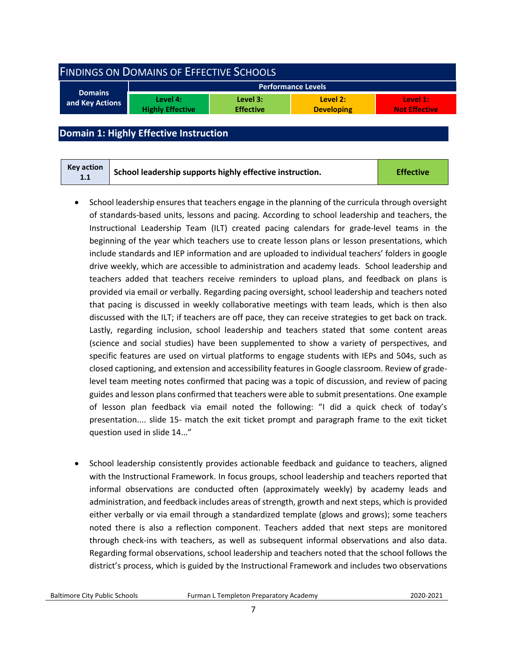<span id="page-6-0"></span>

| <b>FINDINGS ON DOMAINS OF EFFECTIVE SCHOOLS</b> |                                     |                              |                               |                                  |  |
|-------------------------------------------------|-------------------------------------|------------------------------|-------------------------------|----------------------------------|--|
|                                                 |                                     |                              | <b>Performance Levels</b>     |                                  |  |
| <b>Domains</b><br>and Key Actions               | Level 4:<br><b>Highly Effective</b> | Level 3:<br><b>Effective</b> | Level 2:<br><b>Developing</b> | Level 1:<br><b>Not Effective</b> |  |
|                                                 |                                     |                              |                               |                                  |  |

## <span id="page-6-1"></span>**Domain 1: Highly Effective Instruction**

| Key action<br>1.1 | School leadership supports highly effective instruction. | <b>Effective</b> |
|-------------------|----------------------------------------------------------|------------------|
|-------------------|----------------------------------------------------------|------------------|

- School leadership ensures that teachers engage in the planning of the curricula through oversight of standards-based units, lessons and pacing. According to school leadership and teachers, the Instructional Leadership Team (ILT) created pacing calendars for grade-level teams in the beginning of the year which teachers use to create lesson plans or lesson presentations, which include standards and IEP information and are uploaded to individual teachers' folders in google drive weekly, which are accessible to administration and academy leads. School leadership and teachers added that teachers receive reminders to upload plans, and feedback on plans is provided via email or verbally. Regarding pacing oversight, school leadership and teachers noted that pacing is discussed in weekly collaborative meetings with team leads, which is then also discussed with the ILT; if teachers are off pace, they can receive strategies to get back on track. Lastly, regarding inclusion, school leadership and teachers stated that some content areas (science and social studies) have been supplemented to show a variety of perspectives, and specific features are used on virtual platforms to engage students with IEPs and 504s, such as closed captioning, and extension and accessibility features in Google classroom. Review of gradelevel team meeting notes confirmed that pacing was a topic of discussion, and review of pacing guides and lesson plans confirmed that teachers were able to submit presentations. One example of lesson plan feedback via email noted the following: "I did a quick check of today's presentation.... slide 15- match the exit ticket prompt and paragraph frame to the exit ticket question used in slide 14..."
- School leadership consistently provides actionable feedback and guidance to teachers, aligned with the Instructional Framework. In focus groups, school leadership and teachers reported that informal observations are conducted often (approximately weekly) by academy leads and administration, and feedback includes areas of strength, growth and next steps, which is provided either verbally or via email through a standardized template (glows and grows); some teachers noted there is also a reflection component. Teachers added that next steps are monitored through check-ins with teachers, as well as subsequent informal observations and also data. Regarding formal observations, school leadership and teachers noted that the school follows the district's process, which is guided by the Instructional Framework and includes two observations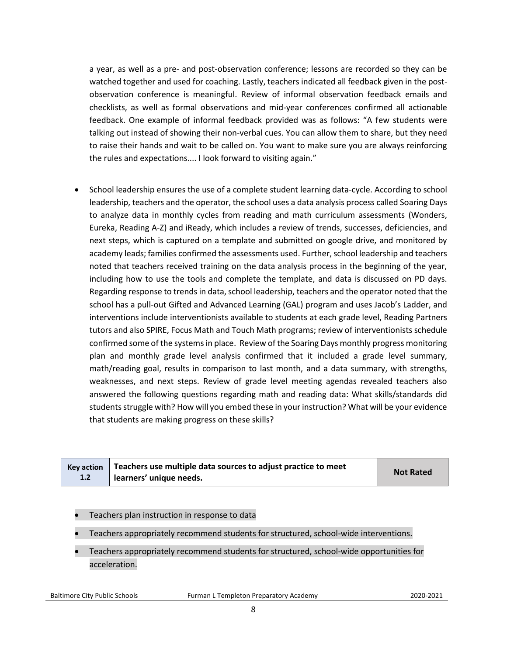a year, as well as a pre- and post-observation conference; lessons are recorded so they can be watched together and used for coaching. Lastly, teachers indicated all feedback given in the postobservation conference is meaningful. Review of informal observation feedback emails and checklists, as well as formal observations and mid-year conferences confirmed all actionable feedback. One example of informal feedback provided was as follows: "A few students were talking out instead of showing their non-verbal cues. You can allow them to share, but they need to raise their hands and wait to be called on. You want to make sure you are always reinforcing the rules and expectations.... I look forward to visiting again."

• School leadership ensures the use of a complete student learning data-cycle. According to school leadership, teachers and the operator, the school uses a data analysis process called Soaring Days to analyze data in monthly cycles from reading and math curriculum assessments (Wonders, Eureka, Reading A-Z) and iReady, which includes a review of trends, successes, deficiencies, and next steps, which is captured on a template and submitted on google drive, and monitored by academy leads; families confirmed the assessments used. Further, school leadership and teachers noted that teachers received training on the data analysis process in the beginning of the year, including how to use the tools and complete the template, and data is discussed on PD days. Regarding response to trends in data, school leadership, teachers and the operator noted that the school has a pull-out Gifted and Advanced Learning (GAL) program and uses Jacob's Ladder, and interventions include interventionists available to students at each grade level, Reading Partners tutors and also SPIRE, Focus Math and Touch Math programs; review of interventionists schedule confirmed some of the systems in place. Review of the Soaring Days monthly progress monitoring plan and monthly grade level analysis confirmed that it included a grade level summary, math/reading goal, results in comparison to last month, and a data summary, with strengths, weaknesses, and next steps. Review of grade level meeting agendas revealed teachers also answered the following questions regarding math and reading data: What skills/standards did students struggle with? How will you embed these in your instruction? What will be your evidence that students are making progress on these skills?

|     | Key action $\vert$ Teachers use multiple data sources to adjust practice to meet | <b>Not Rated</b> |
|-----|----------------------------------------------------------------------------------|------------------|
| 1.2 | learners' unique needs.                                                          |                  |

- Teachers plan instruction in response to data
- Teachers appropriately recommend students for structured, school-wide interventions.
- Teachers appropriately recommend students for structured, school-wide opportunities for acceleration.

Baltimore City Public Schools Furman L Templeton Preparatory Academy2020-2021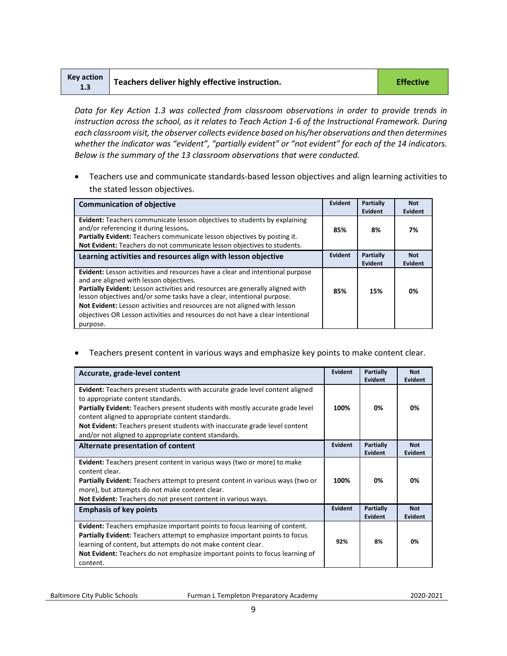| Key action<br>1.3 | Teachers deliver highly effective instruction. | <b>Effective</b> |
|-------------------|------------------------------------------------|------------------|
|-------------------|------------------------------------------------|------------------|

*Data for Key Action 1.3 was collected from classroom observations in order to provide trends in instruction across the school, as it relates to Teach Action 1-6 of the Instructional Framework. During each classroom visit, the observer collects evidence based on his/her observations and then determines*  whether the indicator was "evident", "partially evident" or "not evident" for each of the 14 indicators. *Below is the summary of the 13 classroom observations that were conducted.* 

• Teachers use and communicate standards-based lesson objectives and align learning activities to the stated lesson objectives.

| <b>Communication of objective</b>                                                                                                                                                                                                                                                                                                                                                                                                                            | Evident | Partially<br>Evident        | <b>Not</b><br>Evident |
|--------------------------------------------------------------------------------------------------------------------------------------------------------------------------------------------------------------------------------------------------------------------------------------------------------------------------------------------------------------------------------------------------------------------------------------------------------------|---------|-----------------------------|-----------------------|
| <b>Evident:</b> Teachers communicate lesson objectives to students by explaining<br>and/or referencing it during lessons.<br>Partially Evident: Teachers communicate lesson objectives by posting it.<br>Not Evident: Teachers do not communicate lesson objectives to students.                                                                                                                                                                             | 85%     | 8%                          | 7%                    |
| Learning activities and resources align with lesson objective                                                                                                                                                                                                                                                                                                                                                                                                | Evident | Partially<br><b>Evident</b> | <b>Not</b><br>Evident |
| Evident: Lesson activities and resources have a clear and intentional purpose<br>and are aligned with lesson objectives.<br>Partially Evident: Lesson activities and resources are generally aligned with<br>lesson objectives and/or some tasks have a clear, intentional purpose.<br>Not Evident: Lesson activities and resources are not aligned with lesson<br>objectives OR Lesson activities and resources do not have a clear intentional<br>purpose. | 85%     | 15%                         | 0%                    |

• Teachers present content in various ways and emphasize key points to make content clear.

| Accurate, grade-level content                                                                                                                                                                                                                                                                                                                                                                        | Evident | Partially<br>Evident        | <b>Not</b><br>Evident |
|------------------------------------------------------------------------------------------------------------------------------------------------------------------------------------------------------------------------------------------------------------------------------------------------------------------------------------------------------------------------------------------------------|---------|-----------------------------|-----------------------|
| <b>Evident:</b> Teachers present students with accurate grade level content aligned<br>to appropriate content standards.<br>Partially Evident: Teachers present students with mostly accurate grade level<br>content aligned to appropriate content standards.<br>Not Evident: Teachers present students with inaccurate grade level content<br>and/or not aligned to appropriate content standards. | 100%    | 0%                          | 0%                    |
| Alternate presentation of content                                                                                                                                                                                                                                                                                                                                                                    | Evident | Partially<br>Evident        | <b>Not</b><br>Evident |
| <b>Evident:</b> Teachers present content in various ways (two or more) to make<br>content clear.<br><b>Partially Evident:</b> Teachers attempt to present content in various ways (two or<br>more), but attempts do not make content clear.<br>Not Evident: Teachers do not present content in various ways.                                                                                         | 100%    | 0%                          | 0%                    |
| <b>Emphasis of key points</b>                                                                                                                                                                                                                                                                                                                                                                        | Evident | <b>Partially</b><br>Evident | <b>Not</b><br>Evident |
| <b>Evident:</b> Teachers emphasize important points to focus learning of content.<br><b>Partially Evident:</b> Teachers attempt to emphasize important points to focus<br>learning of content, but attempts do not make content clear.<br>Not Evident: Teachers do not emphasize important points to focus learning of<br>content.                                                                   | 92%     | 8%                          | 0%                    |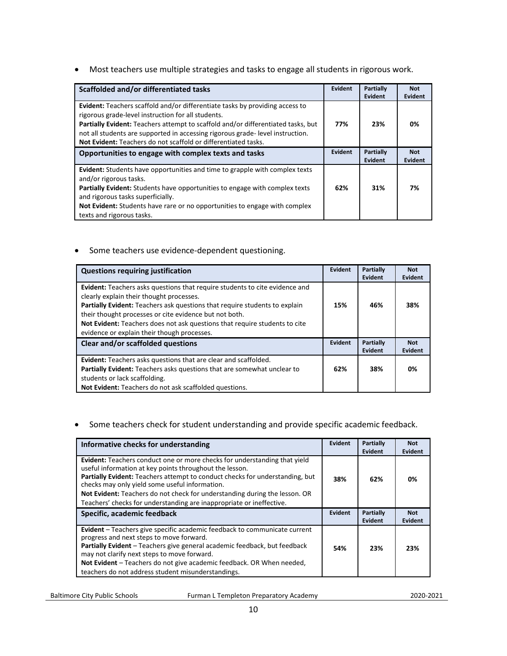• Most teachers use multiple strategies and tasks to engage all students in rigorous work.

| Scaffolded and/or differentiated tasks                                                                                                                                                                                                                                                                                                                                                  | <b>Evident</b> | <b>Partially</b><br>Evident | <b>Not</b><br><b>Evident</b> |
|-----------------------------------------------------------------------------------------------------------------------------------------------------------------------------------------------------------------------------------------------------------------------------------------------------------------------------------------------------------------------------------------|----------------|-----------------------------|------------------------------|
| <b>Evident:</b> Teachers scaffold and/or differentiate tasks by providing access to<br>rigorous grade-level instruction for all students.<br>Partially Evident: Teachers attempt to scaffold and/or differentiated tasks, but<br>not all students are supported in accessing rigorous grade-level instruction.<br><b>Not Evident:</b> Teachers do not scaffold or differentiated tasks. | 77%            | 23%                         | 0%                           |
| Opportunities to engage with complex texts and tasks                                                                                                                                                                                                                                                                                                                                    | <b>Evident</b> | Partially<br>Evident        | <b>Not</b><br>Evident        |
| <b>Evident:</b> Students have opportunities and time to grapple with complex texts<br>and/or rigorous tasks.<br>Partially Evident: Students have opportunities to engage with complex texts<br>and rigorous tasks superficially.<br>Not Evident: Students have rare or no opportunities to engage with complex<br>texts and rigorous tasks.                                             | 62%            | 31%                         | 7%                           |

• Some teachers use evidence-dependent questioning.

| <b>Questions requiring justification</b>                                                                                                                                                                                                                                                                                                                                                     | Evident | Partially<br>Evident | <b>Not</b><br>Evident |
|----------------------------------------------------------------------------------------------------------------------------------------------------------------------------------------------------------------------------------------------------------------------------------------------------------------------------------------------------------------------------------------------|---------|----------------------|-----------------------|
| Evident: Teachers asks questions that require students to cite evidence and<br>clearly explain their thought processes.<br>Partially Evident: Teachers ask questions that require students to explain<br>their thought processes or cite evidence but not both.<br>Not Evident: Teachers does not ask questions that require students to cite<br>evidence or explain their though processes. | 15%     | 46%                  | 38%                   |
| Clear and/or scaffolded questions                                                                                                                                                                                                                                                                                                                                                            |         | Partially<br>Evident | <b>Not</b><br>Evident |
| <b>Evident:</b> Teachers asks questions that are clear and scaffolded.<br>Partially Evident: Teachers asks questions that are somewhat unclear to<br>students or lack scaffolding.<br>Not Evident: Teachers do not ask scaffolded questions.                                                                                                                                                 | 62%     | 38%                  | 0%                    |

• Some teachers check for student understanding and provide specific academic feedback.

| Informative checks for understanding                                                                                                                                                                                                                                                                                                                                                                                                | Evident | Partially<br>Evident        | <b>Not</b><br>Evident        |
|-------------------------------------------------------------------------------------------------------------------------------------------------------------------------------------------------------------------------------------------------------------------------------------------------------------------------------------------------------------------------------------------------------------------------------------|---------|-----------------------------|------------------------------|
| <b>Evident:</b> Teachers conduct one or more checks for understanding that yield<br>useful information at key points throughout the lesson.<br>Partially Evident: Teachers attempt to conduct checks for understanding, but<br>checks may only yield some useful information.<br>Not Evident: Teachers do not check for understanding during the lesson. OR<br>Teachers' checks for understanding are inappropriate or ineffective. | 38%     | 62%                         | 0%                           |
| Specific, academic feedback                                                                                                                                                                                                                                                                                                                                                                                                         | Evident | <b>Partially</b><br>Evident | <b>Not</b><br><b>Evident</b> |
| Evident - Teachers give specific academic feedback to communicate current<br>progress and next steps to move forward.<br>Partially Evident - Teachers give general academic feedback, but feedback<br>may not clarify next steps to move forward.<br>Not Evident – Teachers do not give academic feedback. OR When needed,<br>teachers do not address student misunderstandings.                                                    | 54%     | 23%                         | 23%                          |

Baltimore City Public Schools **Furman L Templeton Preparatory Academy 1998** 2020-2021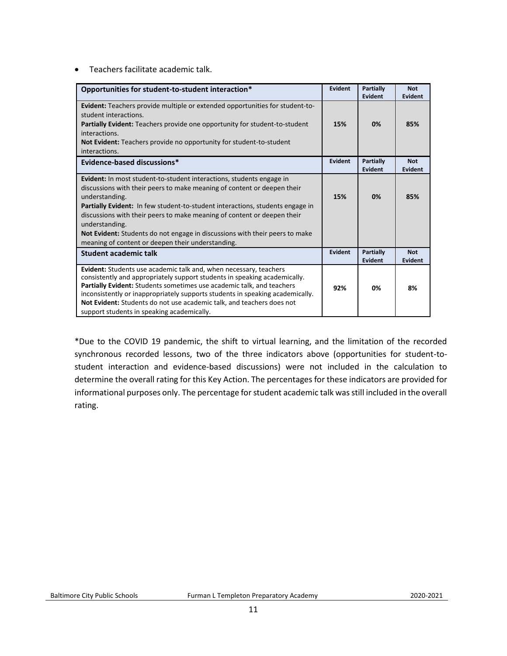• Teachers facilitate academic talk.

| Opportunities for student-to-student interaction*                                                                                                                                                                                                                                                                                                                                                                                                                                                 | Evident        | Partially<br>Evident        | <b>Not</b><br><b>Evident</b> |
|---------------------------------------------------------------------------------------------------------------------------------------------------------------------------------------------------------------------------------------------------------------------------------------------------------------------------------------------------------------------------------------------------------------------------------------------------------------------------------------------------|----------------|-----------------------------|------------------------------|
| <b>Evident:</b> Teachers provide multiple or extended opportunities for student-to-<br>student interactions.<br><b>Partially Evident:</b> Teachers provide one opportunity for student-to-student<br>interactions.<br>Not Evident: Teachers provide no opportunity for student-to-student<br>interactions.                                                                                                                                                                                        | 15%            | 0%                          | 85%                          |
| Evidence-based discussions*                                                                                                                                                                                                                                                                                                                                                                                                                                                                       | <b>Evident</b> | Partially<br>Evident        | <b>Not</b><br><b>Evident</b> |
| Evident: In most student-to-student interactions, students engage in<br>discussions with their peers to make meaning of content or deepen their<br>understanding.<br><b>Partially Evident:</b> In few student-to-student interactions, students engage in<br>discussions with their peers to make meaning of content or deepen their<br>understanding.<br><b>Not Evident:</b> Students do not engage in discussions with their peers to make<br>meaning of content or deepen their understanding. | 15%            | 0%                          | 85%                          |
| Student academic talk                                                                                                                                                                                                                                                                                                                                                                                                                                                                             | <b>Evident</b> | <b>Partially</b><br>Evident | <b>Not</b><br>Evident        |
| Evident: Students use academic talk and, when necessary, teachers<br>consistently and appropriately support students in speaking academically.<br>Partially Evident: Students sometimes use academic talk, and teachers<br>inconsistently or inappropriately supports students in speaking academically.<br>Not Evident: Students do not use academic talk, and teachers does not<br>support students in speaking academically.                                                                   | 92%            | 0%                          | 8%                           |

\*Due to the COVID 19 pandemic, the shift to virtual learning, and the limitation of the recorded synchronous recorded lessons, two of the three indicators above (opportunities for student-tostudent interaction and evidence-based discussions) were not included in the calculation to determine the overall rating for this Key Action. The percentages for these indicators are provided for informational purposes only. The percentage for student academic talk was still included in the overall rating.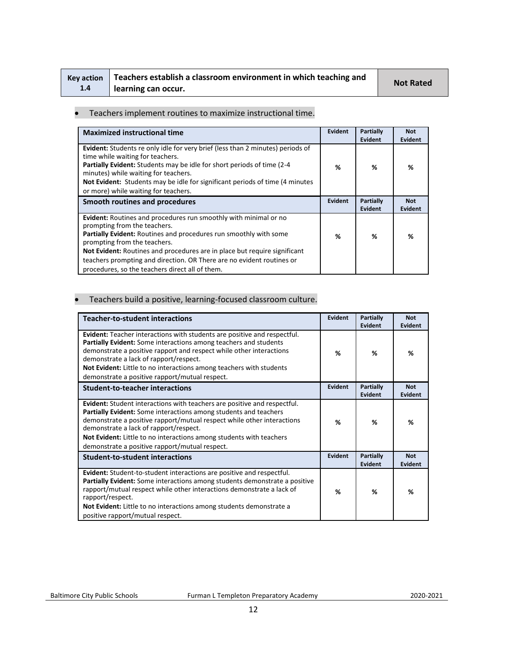| <b>Kev action</b> | Teachers establish a classroom environment in which teaching and | <b>Not Rated</b> |
|-------------------|------------------------------------------------------------------|------------------|
| 1.4               | learning can occur.                                              |                  |

#### • Teachers implement routines to maximize instructional time.

| <b>Maximized instructional time</b>                                                                                                                                                                                                                                                                                                                                                                            | Evident        | Partially<br><b>Evident</b>        | <b>Not</b><br>Evident        |
|----------------------------------------------------------------------------------------------------------------------------------------------------------------------------------------------------------------------------------------------------------------------------------------------------------------------------------------------------------------------------------------------------------------|----------------|------------------------------------|------------------------------|
| <b>Evident:</b> Students re only idle for very brief (less than 2 minutes) periods of<br>time while waiting for teachers.<br>Partially Evident: Students may be idle for short periods of time (2-4<br>minutes) while waiting for teachers.<br>Not Evident: Students may be idle for significant periods of time (4 minutes)<br>or more) while waiting for teachers.                                           | %              | ℅                                  | %                            |
| Smooth routines and procedures                                                                                                                                                                                                                                                                                                                                                                                 | <b>Evident</b> | <b>Partially</b><br><b>Evident</b> | <b>Not</b><br><b>Evident</b> |
| Evident: Routines and procedures run smoothly with minimal or no<br>prompting from the teachers.<br>Partially Evident: Routines and procedures run smoothly with some<br>prompting from the teachers.<br>Not Evident: Routines and procedures are in place but require significant<br>teachers prompting and direction. OR There are no evident routines or<br>procedures, so the teachers direct all of them. | %              | %                                  | %                            |

## • Teachers build a positive, learning-focused classroom culture.

| <b>Teacher-to-student interactions</b>                                                                                                                                                                                                                                                                                                                                                           | <b>Evident</b> | Partially<br><b>Evident</b> | <b>Not</b><br>Evident |
|--------------------------------------------------------------------------------------------------------------------------------------------------------------------------------------------------------------------------------------------------------------------------------------------------------------------------------------------------------------------------------------------------|----------------|-----------------------------|-----------------------|
| <b>Evident:</b> Teacher interactions with students are positive and respectful.<br>Partially Evident: Some interactions among teachers and students<br>demonstrate a positive rapport and respect while other interactions<br>demonstrate a lack of rapport/respect.<br>Not Evident: Little to no interactions among teachers with students<br>demonstrate a positive rapport/mutual respect.    | %              | %                           | %                     |
| <b>Student-to-teacher interactions</b>                                                                                                                                                                                                                                                                                                                                                           | <b>Evident</b> | Partially<br>Evident        | <b>Not</b><br>Evident |
| <b>Evident:</b> Student interactions with teachers are positive and respectful.<br>Partially Evident: Some interactions among students and teachers<br>demonstrate a positive rapport/mutual respect while other interactions<br>demonstrate a lack of rapport/respect.<br>Not Evident: Little to no interactions among students with teachers<br>demonstrate a positive rapport/mutual respect. | %              | %                           | %                     |
| <b>Student-to-student interactions</b>                                                                                                                                                                                                                                                                                                                                                           | Evident        | Partially<br>Evident        | <b>Not</b><br>Evident |
| Evident: Student-to-student interactions are positive and respectful.<br><b>Partially Evident:</b> Some interactions among students demonstrate a positive<br>rapport/mutual respect while other interactions demonstrate a lack of<br>rapport/respect.<br>Not Evident: Little to no interactions among students demonstrate a<br>positive rapport/mutual respect.                               | %              | %                           | %                     |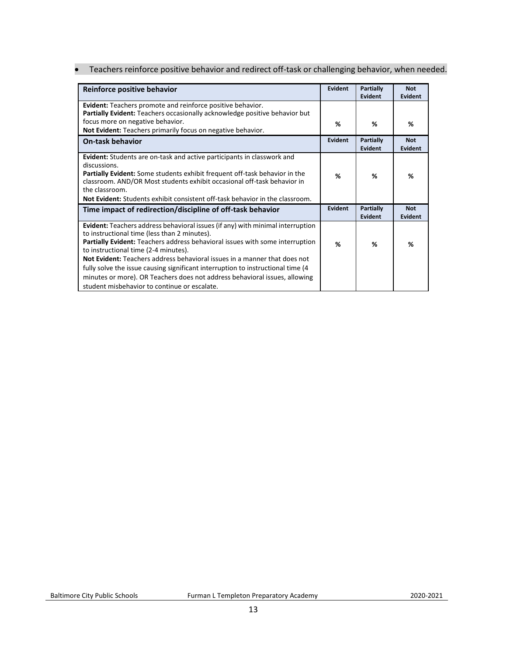• Teachers reinforce positive behavior and redirect off-task or challenging behavior, when needed.

| Reinforce positive behavior                                                                                                                                                                                                                                                                                                                                                                                                                                                                                                                                  | Evident | <b>Partially</b><br>Evident | <b>Not</b><br>Evident        |
|--------------------------------------------------------------------------------------------------------------------------------------------------------------------------------------------------------------------------------------------------------------------------------------------------------------------------------------------------------------------------------------------------------------------------------------------------------------------------------------------------------------------------------------------------------------|---------|-----------------------------|------------------------------|
| <b>Evident:</b> Teachers promote and reinforce positive behavior.<br>Partially Evident: Teachers occasionally acknowledge positive behavior but                                                                                                                                                                                                                                                                                                                                                                                                              |         |                             |                              |
| focus more on negative behavior.<br>Not Evident: Teachers primarily focus on negative behavior.                                                                                                                                                                                                                                                                                                                                                                                                                                                              | %       | %                           | %                            |
| <b>On-task behavior</b>                                                                                                                                                                                                                                                                                                                                                                                                                                                                                                                                      | Evident | <b>Partially</b><br>Evident | <b>Not</b><br><b>Evident</b> |
| <b>Evident:</b> Students are on-task and active participants in classwork and<br>discussions.<br><b>Partially Evident:</b> Some students exhibit frequent off-task behavior in the<br>classroom. AND/OR Most students exhibit occasional off-task behavior in<br>the classroom.<br><b>Not Evident:</b> Students exhibit consistent off-task behavior in the classroom.                                                                                                                                                                                       | %       | %                           | %                            |
| Time impact of redirection/discipline of off-task behavior                                                                                                                                                                                                                                                                                                                                                                                                                                                                                                   | Evident | <b>Partially</b><br>Evident | <b>Not</b><br><b>Evident</b> |
| <b>Evident:</b> Teachers address behavioral issues (if any) with minimal interruption<br>to instructional time (less than 2 minutes).<br>Partially Evident: Teachers address behavioral issues with some interruption<br>to instructional time (2-4 minutes).<br>Not Evident: Teachers address behavioral issues in a manner that does not<br>fully solve the issue causing significant interruption to instructional time (4)<br>minutes or more). OR Teachers does not address behavioral issues, allowing<br>student misbehavior to continue or escalate. | %       | ℅                           | %                            |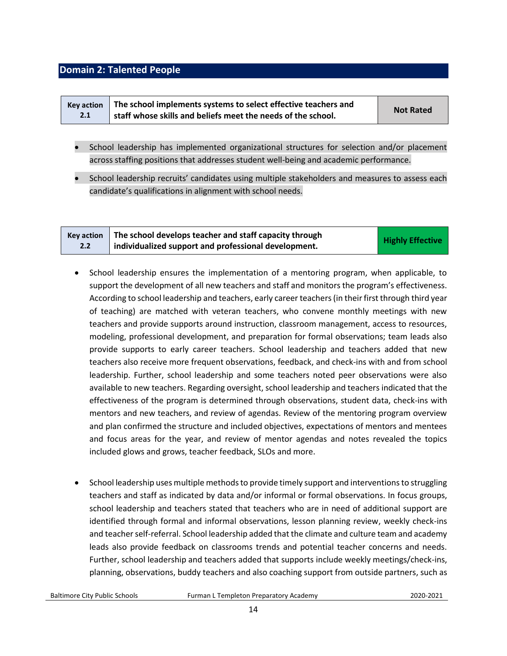## <span id="page-13-0"></span>**Domain 2: Talented People**

|     | Key action   The school implements systems to select effective teachers and | <b>Not Rated</b> |
|-----|-----------------------------------------------------------------------------|------------------|
| 2.1 | staff whose skills and beliefs meet the needs of the school.                |                  |

- School leadership has implemented organizational structures for selection and/or placement across staffing positions that addresses student well-being and academic performance.
- School leadership recruits' candidates using multiple stakeholders and measures to assess each candidate's qualifications in alignment with school needs.

| <b>Kev action</b> | The school develops teacher and staff capacity through | <b>Highly Effective</b> |
|-------------------|--------------------------------------------------------|-------------------------|
| 2.2               | individualized support and professional development.   |                         |

- School leadership ensures the implementation of a mentoring program, when applicable, to support the development of all new teachers and staff and monitors the program's effectiveness. According to school leadership and teachers, early career teachers (in their first through third year of teaching) are matched with veteran teachers, who convene monthly meetings with new teachers and provide supports around instruction, classroom management, access to resources, modeling, professional development, and preparation for formal observations; team leads also provide supports to early career teachers. School leadership and teachers added that new teachers also receive more frequent observations, feedback, and check-ins with and from school leadership. Further, school leadership and some teachers noted peer observations were also available to new teachers. Regarding oversight, school leadership and teachers indicated that the effectiveness of the program is determined through observations, student data, check-ins with mentors and new teachers, and review of agendas. Review of the mentoring program overview and plan confirmed the structure and included objectives, expectations of mentors and mentees and focus areas for the year, and review of mentor agendas and notes revealed the topics included glows and grows, teacher feedback, SLOs and more.
- School leadership uses multiple methods to provide timely support and interventions to struggling teachers and staff as indicated by data and/or informal or formal observations. In focus groups, school leadership and teachers stated that teachers who are in need of additional support are identified through formal and informal observations, lesson planning review, weekly check-ins and teacher self-referral. School leadership added that the climate and culture team and academy leads also provide feedback on classrooms trends and potential teacher concerns and needs. Further, school leadership and teachers added that supports include weekly meetings/check-ins, planning, observations, buddy teachers and also coaching support from outside partners, such as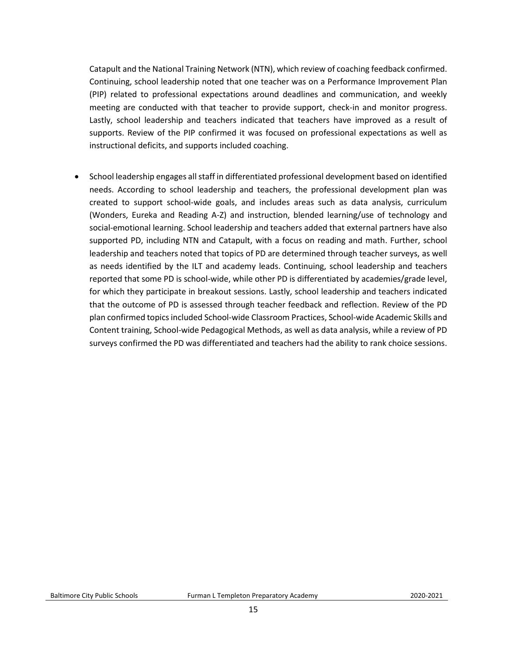Catapult and the National Training Network (NTN), which review of coaching feedback confirmed. Continuing, school leadership noted that one teacher was on a Performance Improvement Plan (PIP) related to professional expectations around deadlines and communication, and weekly meeting are conducted with that teacher to provide support, check-in and monitor progress. Lastly, school leadership and teachers indicated that teachers have improved as a result of supports. Review of the PIP confirmed it was focused on professional expectations as well as instructional deficits, and supports included coaching.

• School leadership engages all staff in differentiated professional development based on identified needs. According to school leadership and teachers, the professional development plan was created to support school-wide goals, and includes areas such as data analysis, curriculum (Wonders, Eureka and Reading A-Z) and instruction, blended learning/use of technology and social-emotional learning. School leadership and teachers added that external partners have also supported PD, including NTN and Catapult, with a focus on reading and math. Further, school leadership and teachers noted that topics of PD are determined through teacher surveys, as well as needs identified by the ILT and academy leads. Continuing, school leadership and teachers reported that some PD is school-wide, while other PD is differentiated by academies/grade level, for which they participate in breakout sessions. Lastly, school leadership and teachers indicated that the outcome of PD is assessed through teacher feedback and reflection. Review of the PD plan confirmed topics included School-wide Classroom Practices, School-wide Academic Skills and Content training, School-wide Pedagogical Methods, as well as data analysis, while a review of PD surveys confirmed the PD was differentiated and teachers had the ability to rank choice sessions.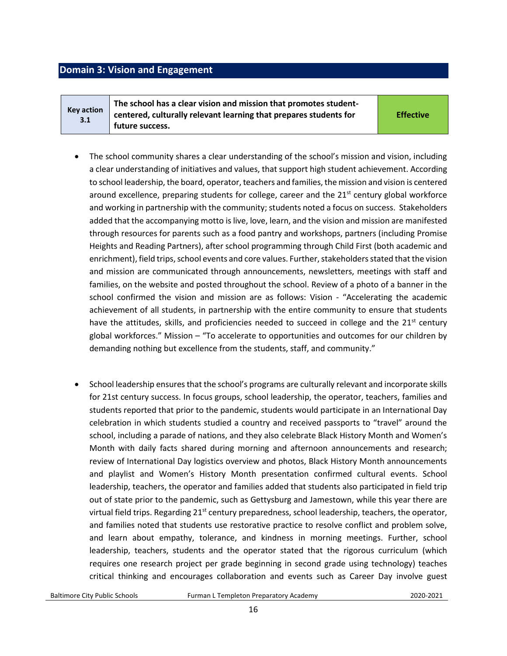## <span id="page-15-0"></span>**Domain 3: Vision and Engagement**

**Key action 3.1 The school has a clear vision and mission that promotes studentcentered, culturally relevant learning that prepares students for future success.** 

**Effective**

- The school community shares a clear understanding of the school's mission and vision, including a clear understanding of initiatives and values, that support high student achievement. According to school leadership, the board, operator, teachers and families, the mission and vision is centered around excellence, preparing students for college, career and the  $21<sup>st</sup>$  century global workforce and working in partnership with the community; students noted a focus on success. Stakeholders added that the accompanying motto is live, love, learn, and the vision and mission are manifested through resources for parents such as a food pantry and workshops, partners (including Promise Heights and Reading Partners), after school programming through Child First (both academic and enrichment), field trips, school events and core values. Further, stakeholders stated that the vision and mission are communicated through announcements, newsletters, meetings with staff and families, on the website and posted throughout the school. Review of a photo of a banner in the school confirmed the vision and mission are as follows: Vision - "Accelerating the academic achievement of all students, in partnership with the entire community to ensure that students have the attitudes, skills, and proficiencies needed to succeed in college and the  $21<sup>st</sup>$  century global workforces." Mission – "To accelerate to opportunities and outcomes for our children by demanding nothing but excellence from the students, staff, and community."
- School leadership ensures that the school's programs are culturally relevant and incorporate skills for 21st century success. In focus groups, school leadership, the operator, teachers, families and students reported that prior to the pandemic, students would participate in an International Day celebration in which students studied a country and received passports to "travel" around the school, including a parade of nations, and they also celebrate Black History Month and Women's Month with daily facts shared during morning and afternoon announcements and research; review of International Day logistics overview and photos, Black History Month announcements and playlist and Women's History Month presentation confirmed cultural events. School leadership, teachers, the operator and families added that students also participated in field trip out of state prior to the pandemic, such as Gettysburg and Jamestown, while this year there are virtual field trips. Regarding  $21^{st}$  century preparedness, school leadership, teachers, the operator, and families noted that students use restorative practice to resolve conflict and problem solve, and learn about empathy, tolerance, and kindness in morning meetings. Further, school leadership, teachers, students and the operator stated that the rigorous curriculum (which requires one research project per grade beginning in second grade using technology) teaches critical thinking and encourages collaboration and events such as Career Day involve guest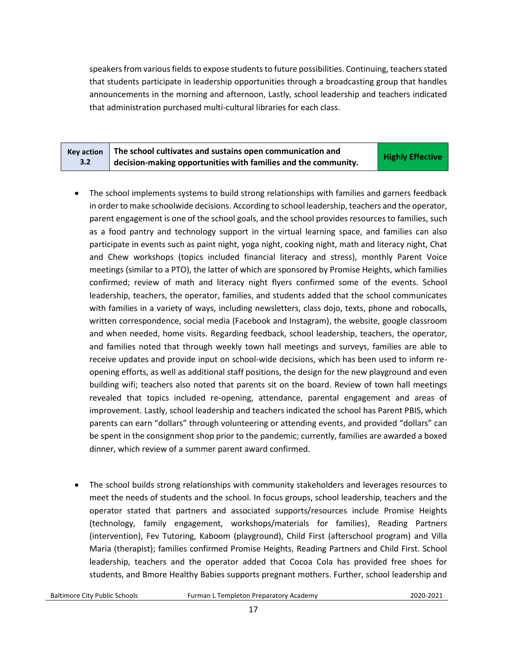speakers from various fields to expose students to future possibilities. Continuing, teachers stated that students participate in leadership opportunities through a broadcasting group that handles announcements in the morning and afternoon, Lastly, school leadership and teachers indicated that administration purchased multi-cultural libraries for each class.

| <b>Kev action</b> | The school cultivates and sustains open communication and                   | <b>Highly Effective</b> |
|-------------------|-----------------------------------------------------------------------------|-------------------------|
| 3.2               | $\mathbb{I}$ decision-making opportunities with families and the community. |                         |

- The school implements systems to build strong relationships with families and garners feedback in order to make schoolwide decisions. According to school leadership, teachers and the operator, parent engagement is one of the school goals, and the school provides resources to families, such as a food pantry and technology support in the virtual learning space, and families can also participate in events such as paint night, yoga night, cooking night, math and literacy night, Chat and Chew workshops (topics included financial literacy and stress), monthly Parent Voice meetings (similar to a PTO), the latter of which are sponsored by Promise Heights, which families confirmed; review of math and literacy night flyers confirmed some of the events. School leadership, teachers, the operator, families, and students added that the school communicates with families in a variety of ways, including newsletters, class dojo, texts, phone and robocalls, written correspondence, social media (Facebook and Instagram), the website, google classroom and when needed, home visits. Regarding feedback, school leadership, teachers, the operator, and families noted that through weekly town hall meetings and surveys, families are able to receive updates and provide input on school-wide decisions, which has been used to inform reopening efforts, as well as additional staff positions, the design for the new playground and even building wifi; teachers also noted that parents sit on the board. Review of town hall meetings revealed that topics included re-opening, attendance, parental engagement and areas of improvement. Lastly, school leadership and teachers indicated the school has Parent PBIS, which parents can earn "dollars" through volunteering or attending events, and provided "dollars" can be spent in the consignment shop prior to the pandemic; currently, families are awarded a boxed dinner, which review of a summer parent award confirmed.
- The school builds strong relationships with community stakeholders and leverages resources to meet the needs of students and the school. In focus groups, school leadership, teachers and the operator stated that partners and associated supports/resources include Promise Heights (technology, family engagement, workshops/materials for families), Reading Partners (intervention), Fev Tutoring, Kaboom (playground), Child First (afterschool program) and Villa Maria (therapist); families confirmed Promise Heights, Reading Partners and Child First. School leadership, teachers and the operator added that Cocoa Cola has provided free shoes for students, and Bmore Healthy Babies supports pregnant mothers. Further, school leadership and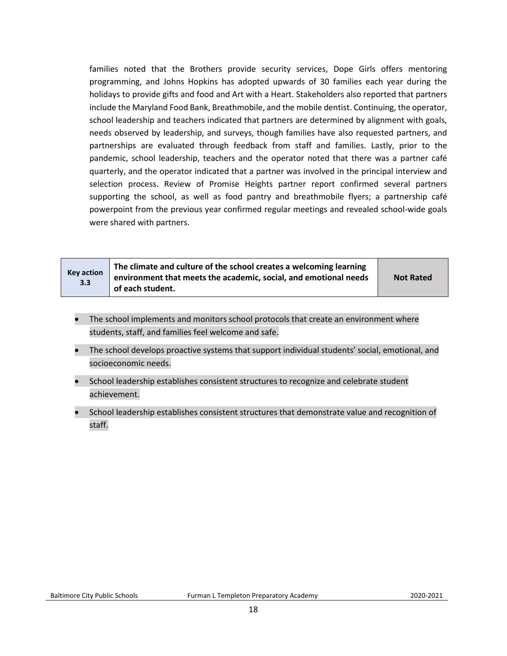families noted that the Brothers provide security services, Dope Girls offers mentoring programming, and Johns Hopkins has adopted upwards of 30 families each year during the holidays to provide gifts and food and Art with a Heart. Stakeholders also reported that partners include the Maryland Food Bank, Breathmobile, and the mobile dentist. Continuing, the operator, school leadership and teachers indicated that partners are determined by alignment with goals, needs observed by leadership, and surveys, though families have also requested partners, and partnerships are evaluated through feedback from staff and families. Lastly, prior to the pandemic, school leadership, teachers and the operator noted that there was a partner café quarterly, and the operator indicated that a partner was involved in the principal interview and selection process. Review of Promise Heights partner report confirmed several partners supporting the school, as well as food pantry and breathmobile flyers; a partnership café powerpoint from the previous year confirmed regular meetings and revealed school-wide goals were shared with partners.

| <b>Key action</b><br>3.3 | The climate and culture of the school creates a welcoming learning<br>environment that meets the academic, social, and emotional needs<br>of each student. | <b>Not Rated</b> |
|--------------------------|------------------------------------------------------------------------------------------------------------------------------------------------------------|------------------|
|--------------------------|------------------------------------------------------------------------------------------------------------------------------------------------------------|------------------|

- The school implements and monitors school protocols that create an environment where students, staff, and families feel welcome and safe.
- The school develops proactive systems that support individual students' social, emotional, and socioeconomic needs.
- School leadership establishes consistent structures to recognize and celebrate student achievement.
- School leadership establishes consistent structures that demonstrate value and recognition of staff.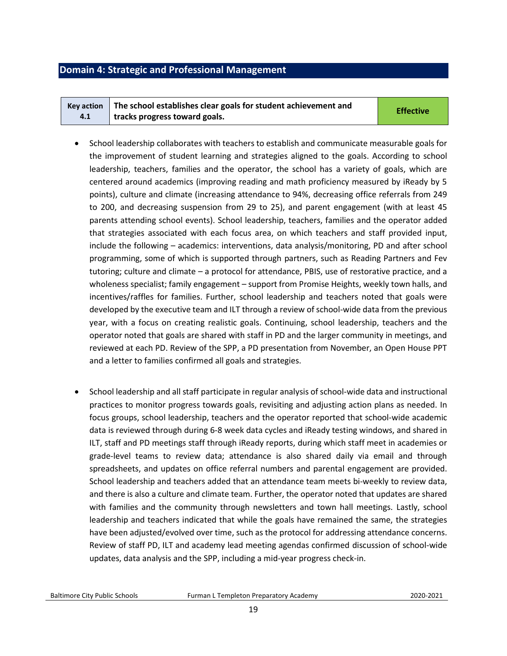## <span id="page-18-0"></span>**Domain 4: Strategic and Professional Management**

|     | Key action $\parallel$ The school establishes clear goals for student achievement and | <b>Effective</b> |
|-----|---------------------------------------------------------------------------------------|------------------|
| 4.1 | tracks progress toward goals.                                                         |                  |

- School leadership collaborates with teachers to establish and communicate measurable goals for the improvement of student learning and strategies aligned to the goals. According to school leadership, teachers, families and the operator, the school has a variety of goals, which are centered around academics (improving reading and math proficiency measured by iReady by 5 points), culture and climate (increasing attendance to 94%, decreasing office referrals from 249 to 200, and decreasing suspension from 29 to 25), and parent engagement (with at least 45 parents attending school events). School leadership, teachers, families and the operator added that strategies associated with each focus area, on which teachers and staff provided input, include the following – academics: interventions, data analysis/monitoring, PD and after school programming, some of which is supported through partners, such as Reading Partners and Fev tutoring; culture and climate – a protocol for attendance, PBIS, use of restorative practice, and a wholeness specialist; family engagement – support from Promise Heights, weekly town halls, and incentives/raffles for families. Further, school leadership and teachers noted that goals were developed by the executive team and ILT through a review of school-wide data from the previous year, with a focus on creating realistic goals. Continuing, school leadership, teachers and the operator noted that goals are shared with staff in PD and the larger community in meetings, and reviewed at each PD. Review of the SPP, a PD presentation from November, an Open House PPT and a letter to families confirmed all goals and strategies.
- School leadership and all staff participate in regular analysis of school-wide data and instructional practices to monitor progress towards goals, revisiting and adjusting action plans as needed. In focus groups, school leadership, teachers and the operator reported that school-wide academic data is reviewed through during 6-8 week data cycles and iReady testing windows, and shared in ILT, staff and PD meetings staff through iReady reports, during which staff meet in academies or grade-level teams to review data; attendance is also shared daily via email and through spreadsheets, and updates on office referral numbers and parental engagement are provided. School leadership and teachers added that an attendance team meets bi-weekly to review data, and there is also a culture and climate team. Further, the operator noted that updates are shared with families and the community through newsletters and town hall meetings. Lastly, school leadership and teachers indicated that while the goals have remained the same, the strategies have been adjusted/evolved over time, such as the protocol for addressing attendance concerns. Review of staff PD, ILT and academy lead meeting agendas confirmed discussion of school-wide updates, data analysis and the SPP, including a mid-year progress check-in.

Baltimore City Public Schools Furman L Templeton Preparatory Academy2020-2021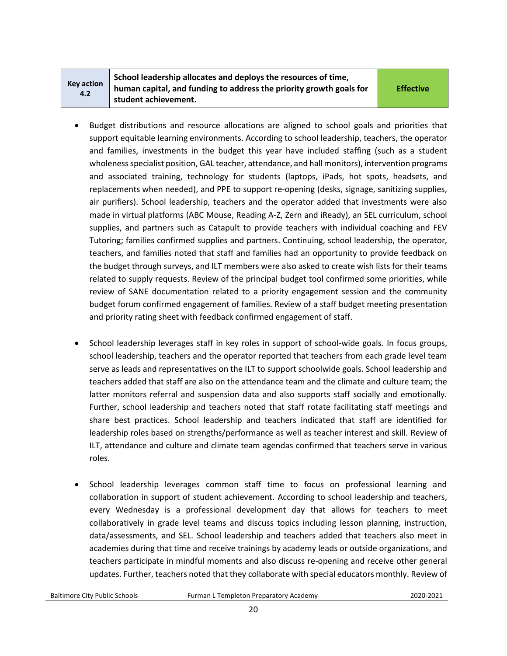| <b>Key action</b> |  |
|-------------------|--|
| 4.2               |  |

**School leadership allocates and deploys the resources of time, human capital, and funding to address the priority growth goals for student achievement.** 

**Effective**

- Budget distributions and resource allocations are aligned to school goals and priorities that support equitable learning environments. According to school leadership, teachers, the operator and families, investments in the budget this year have included staffing (such as a student wholeness specialist position, GAL teacher, attendance, and hall monitors), intervention programs and associated training, technology for students (laptops, iPads, hot spots, headsets, and replacements when needed), and PPE to support re-opening (desks, signage, sanitizing supplies, air purifiers). School leadership, teachers and the operator added that investments were also made in virtual platforms (ABC Mouse, Reading A-Z, Zern and iReady), an SEL curriculum, school supplies, and partners such as Catapult to provide teachers with individual coaching and FEV Tutoring; families confirmed supplies and partners. Continuing, school leadership, the operator, teachers, and families noted that staff and families had an opportunity to provide feedback on the budget through surveys, and ILT members were also asked to create wish lists for their teams related to supply requests. Review of the principal budget tool confirmed some priorities, while review of SANE documentation related to a priority engagement session and the community budget forum confirmed engagement of families. Review of a staff budget meeting presentation and priority rating sheet with feedback confirmed engagement of staff.
- School leadership leverages staff in key roles in support of school-wide goals. In focus groups, school leadership, teachers and the operator reported that teachers from each grade level team serve as leads and representatives on the ILT to support schoolwide goals. School leadership and teachers added that staff are also on the attendance team and the climate and culture team; the latter monitors referral and suspension data and also supports staff socially and emotionally. Further, school leadership and teachers noted that staff rotate facilitating staff meetings and share best practices. School leadership and teachers indicated that staff are identified for leadership roles based on strengths/performance as well as teacher interest and skill. Review of ILT, attendance and culture and climate team agendas confirmed that teachers serve in various roles.
- School leadership leverages common staff time to focus on professional learning and collaboration in support of student achievement. According to school leadership and teachers, every Wednesday is a professional development day that allows for teachers to meet collaboratively in grade level teams and discuss topics including lesson planning, instruction, data/assessments, and SEL. School leadership and teachers added that teachers also meet in academies during that time and receive trainings by academy leads or outside organizations, and teachers participate in mindful moments and also discuss re-opening and receive other general updates. Further, teachers noted that they collaborate with special educators monthly. Review of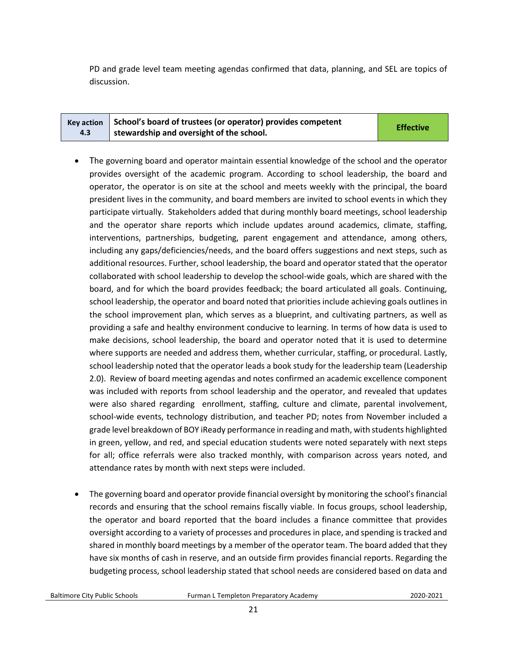PD and grade level team meeting agendas confirmed that data, planning, and SEL are topics of discussion.

| Key action $\vert$ School's board of trustees (or operator) provides competent | <b>Effective</b> |
|--------------------------------------------------------------------------------|------------------|
| stewardship and oversight of the school.                                       |                  |

- The governing board and operator maintain essential knowledge of the school and the operator provides oversight of the academic program. According to school leadership, the board and operator, the operator is on site at the school and meets weekly with the principal, the board president lives in the community, and board members are invited to school events in which they participate virtually. Stakeholders added that during monthly board meetings, school leadership and the operator share reports which include updates around academics, climate, staffing, interventions, partnerships, budgeting, parent engagement and attendance, among others, including any gaps/deficiencies/needs, and the board offers suggestions and next steps, such as additional resources. Further, school leadership, the board and operator stated that the operator collaborated with school leadership to develop the school-wide goals, which are shared with the board, and for which the board provides feedback; the board articulated all goals. Continuing, school leadership, the operator and board noted that priorities include achieving goals outlines in the school improvement plan, which serves as a blueprint, and cultivating partners, as well as providing a safe and healthy environment conducive to learning. In terms of how data is used to make decisions, school leadership, the board and operator noted that it is used to determine where supports are needed and address them, whether curricular, staffing, or procedural. Lastly, school leadership noted that the operator leads a book study for the leadership team (Leadership 2.0). Review of board meeting agendas and notes confirmed an academic excellence component was included with reports from school leadership and the operator, and revealed that updates were also shared regarding enrollment, staffing, culture and climate, parental involvement, school-wide events, technology distribution, and teacher PD; notes from November included a grade level breakdown of BOY iReady performance in reading and math, with students highlighted in green, yellow, and red, and special education students were noted separately with next steps for all; office referrals were also tracked monthly, with comparison across years noted, and attendance rates by month with next steps were included.
- The governing board and operator provide financial oversight by monitoring the school's financial records and ensuring that the school remains fiscally viable. In focus groups, school leadership, the operator and board reported that the board includes a finance committee that provides oversight according to a variety of processes and procedures in place, and spending is tracked and shared in monthly board meetings by a member of the operator team. The board added that they have six months of cash in reserve, and an outside firm provides financial reports. Regarding the budgeting process, school leadership stated that school needs are considered based on data and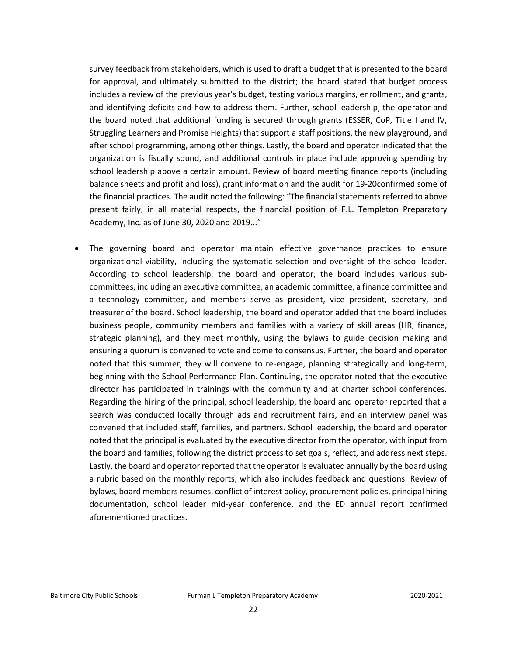survey feedback from stakeholders, which is used to draft a budget that is presented to the board for approval, and ultimately submitted to the district; the board stated that budget process includes a review of the previous year's budget, testing various margins, enrollment, and grants, and identifying deficits and how to address them. Further, school leadership, the operator and the board noted that additional funding is secured through grants (ESSER, CoP, Title I and IV, Struggling Learners and Promise Heights) that support a staff positions, the new playground, and after school programming, among other things. Lastly, the board and operator indicated that the organization is fiscally sound, and additional controls in place include approving spending by school leadership above a certain amount. Review of board meeting finance reports (including balance sheets and profit and loss), grant information and the audit for 19-20confirmed some of the financial practices. The audit noted the following: "The financial statements referred to above present fairly, in all material respects, the financial position of F.L. Templeton Preparatory Academy, Inc. as of June 30, 2020 and 2019..."

• The governing board and operator maintain effective governance practices to ensure organizational viability, including the systematic selection and oversight of the school leader. According to school leadership, the board and operator, the board includes various subcommittees, including an executive committee, an academic committee, a finance committee and a technology committee, and members serve as president, vice president, secretary, and treasurer of the board. School leadership, the board and operator added that the board includes business people, community members and families with a variety of skill areas (HR, finance, strategic planning), and they meet monthly, using the bylaws to guide decision making and ensuring a quorum is convened to vote and come to consensus. Further, the board and operator noted that this summer, they will convene to re-engage, planning strategically and long-term, beginning with the School Performance Plan. Continuing, the operator noted that the executive director has participated in trainings with the community and at charter school conferences. Regarding the hiring of the principal, school leadership, the board and operator reported that a search was conducted locally through ads and recruitment fairs, and an interview panel was convened that included staff, families, and partners. School leadership, the board and operator noted that the principal is evaluated by the executive director from the operator, with input from the board and families, following the district process to set goals, reflect, and address next steps. Lastly, the board and operator reported that the operator is evaluated annually by the board using a rubric based on the monthly reports, which also includes feedback and questions. Review of bylaws, board members resumes, conflict of interest policy, procurement policies, principal hiring documentation, school leader mid-year conference, and the ED annual report confirmed aforementioned practices.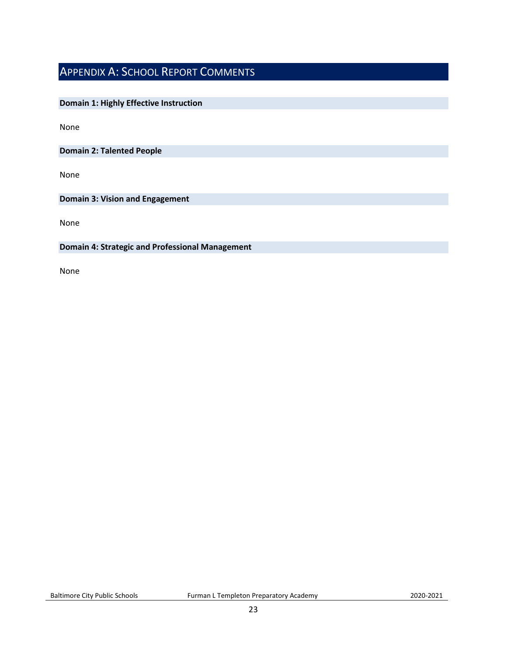## <span id="page-22-0"></span>APPENDIX A: SCHOOL REPORT COMMENTS

## **Domain 1: Highly Effective Instruction**

None

**Domain 2: Talented People**

None

**Domain 3: Vision and Engagement**

None

#### **Domain 4: Strategic and Professional Management**

None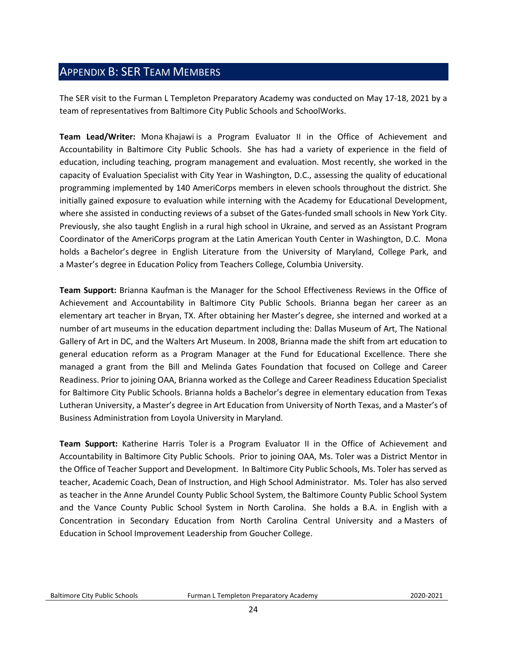## <span id="page-23-0"></span>APPENDIX B: SER TEAM MEMBERS

The SER visit to the Furman L Templeton Preparatory Academy was conducted on May 17-18, 2021 by a team of representatives from Baltimore City Public Schools and SchoolWorks.

**Team Lead/Writer:** Mona Khajawi is a Program Evaluator II in the Office of Achievement and Accountability in Baltimore City Public Schools. She has had a variety of experience in the field of education, including teaching, program management and evaluation. Most recently, she worked in the capacity of Evaluation Specialist with City Year in Washington, D.C., assessing the quality of educational programming implemented by 140 AmeriCorps members in eleven schools throughout the district. She initially gained exposure to evaluation while interning with the Academy for Educational Development, where she assisted in conducting reviews of a subset of the Gates-funded small schools in New York City. Previously, she also taught English in a rural high school in Ukraine, and served as an Assistant Program Coordinator of the AmeriCorps program at the Latin American Youth Center in Washington, D.C. Mona holds a Bachelor's degree in English Literature from the University of Maryland, College Park, and a Master's degree in Education Policy from Teachers College, Columbia University.

**Team Support:** Brianna Kaufman is the Manager for the School Effectiveness Reviews in the Office of Achievement and Accountability in Baltimore City Public Schools. Brianna began her career as an elementary art teacher in Bryan, TX. After obtaining her Master's degree, she interned and worked at a number of art museums in the education department including the: Dallas Museum of Art, The National Gallery of Art in DC, and the Walters Art Museum. In 2008, Brianna made the shift from art education to general education reform as a Program Manager at the Fund for Educational Excellence. There she managed a grant from the Bill and Melinda Gates Foundation that focused on College and Career Readiness. Prior to joining OAA, Brianna worked as the College and Career Readiness Education Specialist for Baltimore City Public Schools. Brianna holds a Bachelor's degree in elementary education from Texas Lutheran University, a Master's degree in Art Education from University of North Texas, and a Master's of Business Administration from Loyola University in Maryland.

**Team Support:** Katherine Harris Toler is a Program Evaluator II in the Office of Achievement and Accountability in Baltimore City Public Schools. Prior to joining OAA, Ms. Toler was a District Mentor in the Office of Teacher Support and Development. In Baltimore City Public Schools, Ms. Toler has served as teacher, Academic Coach, Dean of Instruction, and High School Administrator. Ms. Toler has also served as teacher in the Anne Arundel County Public School System, the Baltimore County Public School System and the Vance County Public School System in North Carolina. She holds a B.A. in English with a Concentration in Secondary Education from North Carolina Central University and a Masters of Education in School Improvement Leadership from Goucher College.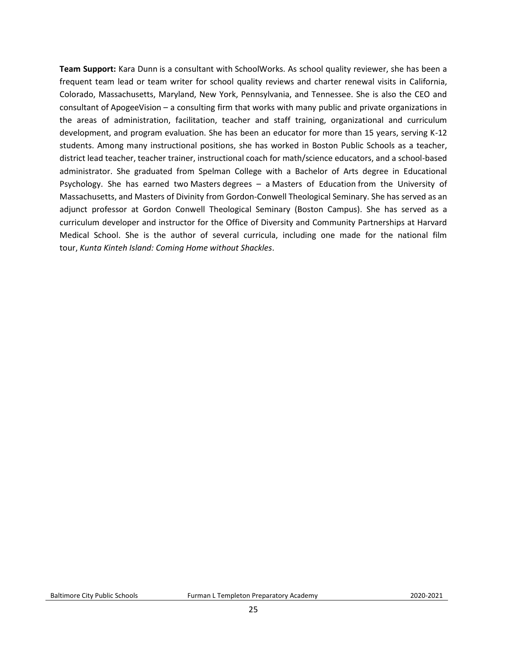**Team Support:** Kara Dunn is a consultant with SchoolWorks. As school quality reviewer, she has been a frequent team lead or team writer for school quality reviews and charter renewal visits in California, Colorado, Massachusetts, Maryland, New York, Pennsylvania, and Tennessee. She is also the CEO and consultant of ApogeeVision – a consulting firm that works with many public and private organizations in the areas of administration, facilitation, teacher and staff training, organizational and curriculum development, and program evaluation. She has been an educator for more than 15 years, serving K-12 students. Among many instructional positions, she has worked in Boston Public Schools as a teacher, district lead teacher, teacher trainer, instructional coach for math/science educators, and a school-based administrator. She graduated from Spelman College with a Bachelor of Arts degree in Educational Psychology. She has earned two Masters degrees – a Masters of Education from the University of Massachusetts, and Masters of Divinity from Gordon-Conwell Theological Seminary. She has served as an adjunct professor at Gordon Conwell Theological Seminary (Boston Campus). She has served as a curriculum developer and instructor for the Office of Diversity and Community Partnerships at Harvard Medical School. She is the author of several curricula, including one made for the national film tour, *Kunta Kinteh Island: Coming Home without Shackles*.